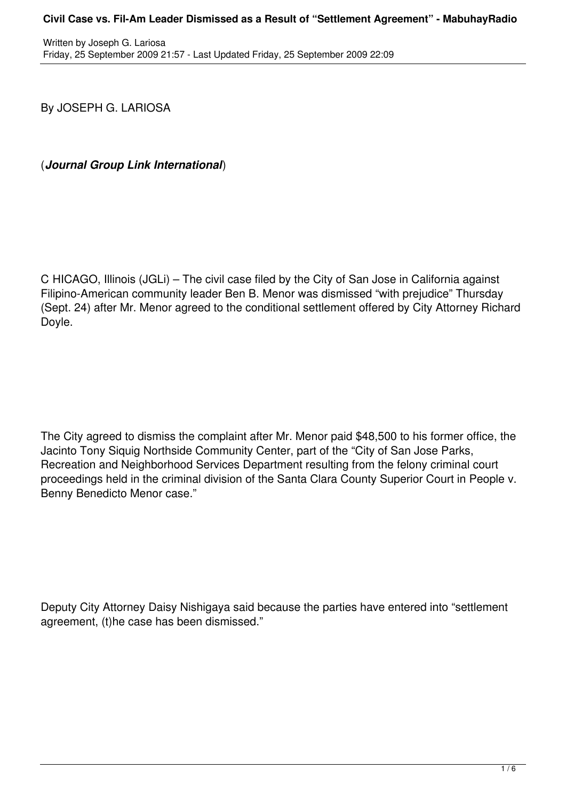By JOSEPH G. LARIOSA

(*Journal Group Link International*)

C HICAGO, Illinois (JGLi) – The civil case filed by the City of San Jose in California against Filipino-American community leader Ben B. Menor was dismissed "with prejudice" Thursday (Sept. 24) after Mr. Menor agreed to the conditional settlement offered by City Attorney Richard Doyle.

The City agreed to dismiss the complaint after Mr. Menor paid \$48,500 to his former office, the Jacinto Tony Siquig Northside Community Center, part of the "City of San Jose Parks, Recreation and Neighborhood Services Department resulting from the felony criminal court proceedings held in the criminal division of the Santa Clara County Superior Court in People v. Benny Benedicto Menor case."

Deputy City Attorney Daisy Nishigaya said because the parties have entered into "settlement agreement, (t)he case has been dismissed."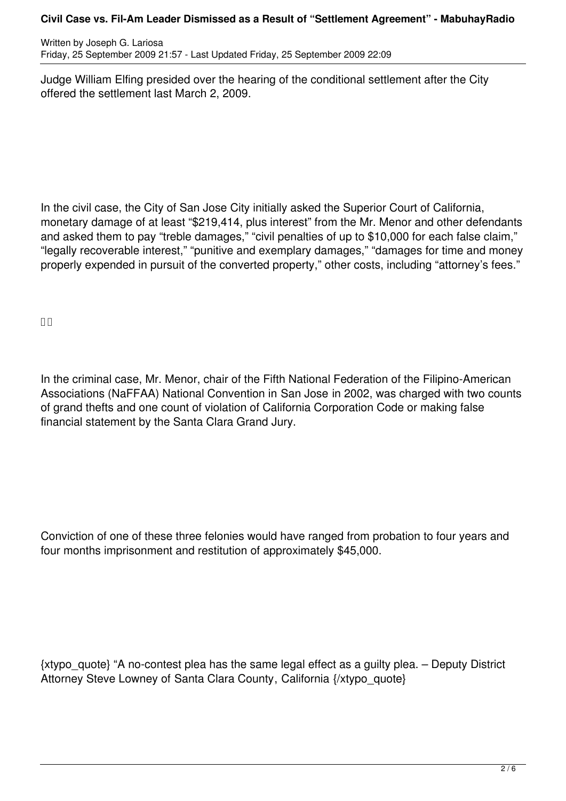Written by Joseph G. Lariosa Friday, 25 September 2009 21:57 - Last Updated Friday, 25 September 2009 22:09

Judge William Elfing presided over the hearing of the conditional settlement after the City offered the settlement last March 2, 2009.

In the civil case, the City of San Jose City initially asked the Superior Court of California, monetary damage of at least "\$219,414, plus interest" from the Mr. Menor and other defendants and asked them to pay "treble damages," "civil penalties of up to \$10,000 for each false claim," "legally recoverable interest," "punitive and exemplary damages," "damages for time and money properly expended in pursuit of the converted property," other costs, including "attorney's fees."

 $\Box$ 

In the criminal case, Mr. Menor, chair of the Fifth National Federation of the Filipino-American Associations (NaFFAA) National Convention in San Jose in 2002, was charged with two counts of grand thefts and one count of violation of California Corporation Code or making false financial statement by the Santa Clara Grand Jury.

Conviction of one of these three felonies would have ranged from probation to four years and four months imprisonment and restitution of approximately \$45,000.

{xtypo\_quote} "A no-contest plea has the same legal effect as a guilty plea. – Deputy District Attorney Steve Lowney of Santa Clara County, California {/xtypo\_quote}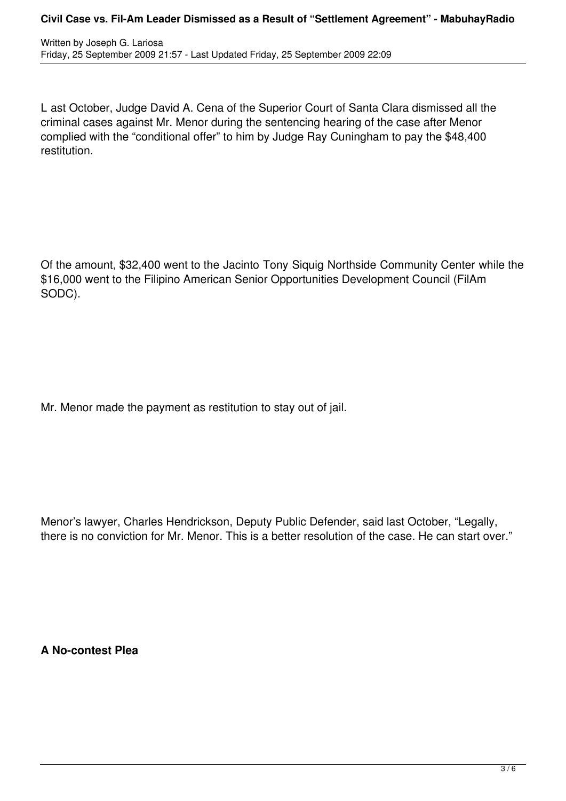L ast October, Judge David A. Cena of the Superior Court of Santa Clara dismissed all the criminal cases against Mr. Menor during the sentencing hearing of the case after Menor complied with the "conditional offer" to him by Judge Ray Cuningham to pay the \$48,400 restitution.

Of the amount, \$32,400 went to the Jacinto Tony Siquig Northside Community Center while the \$16,000 went to the Filipino American Senior Opportunities Development Council (FilAm SODC).

Mr. Menor made the payment as restitution to stay out of jail.

Menor's lawyer, Charles Hendrickson, Deputy Public Defender, said last October, "Legally, there is no conviction for Mr. Menor. This is a better resolution of the case. He can start over."

**A No-contest Plea**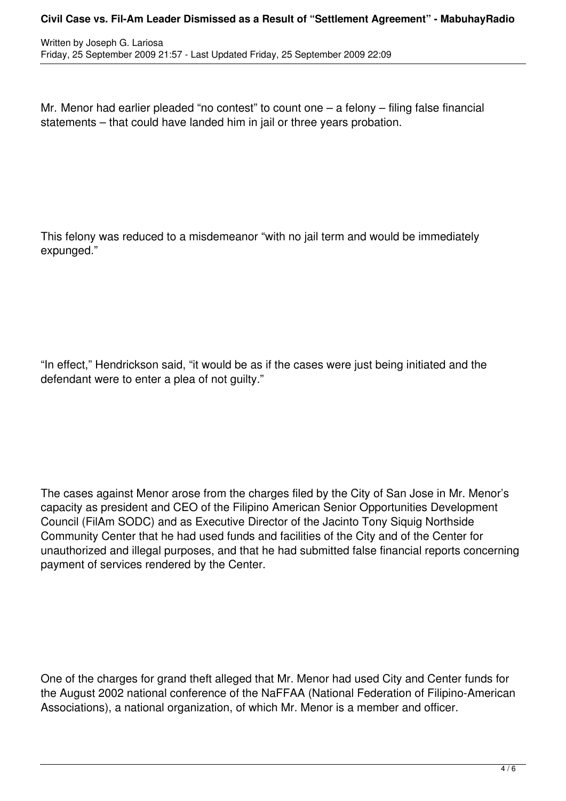Mr. Menor had earlier pleaded "no contest" to count one – a felony – filing false financial statements – that could have landed him in jail or three years probation.

This felony was reduced to a misdemeanor "with no jail term and would be immediately expunged."

"In effect," Hendrickson said, "it would be as if the cases were just being initiated and the defendant were to enter a plea of not guilty."

The cases against Menor arose from the charges filed by the City of San Jose in Mr. Menor's capacity as president and CEO of the Filipino American Senior Opportunities Development Council (FilAm SODC) and as Executive Director of the Jacinto Tony Siquig Northside Community Center that he had used funds and facilities of the City and of the Center for unauthorized and illegal purposes, and that he had submitted false financial reports concerning payment of services rendered by the Center.

One of the charges for grand theft alleged that Mr. Menor had used City and Center funds for the August 2002 national conference of the NaFFAA (National Federation of Filipino-American Associations), a national organization, of which Mr. Menor is a member and officer.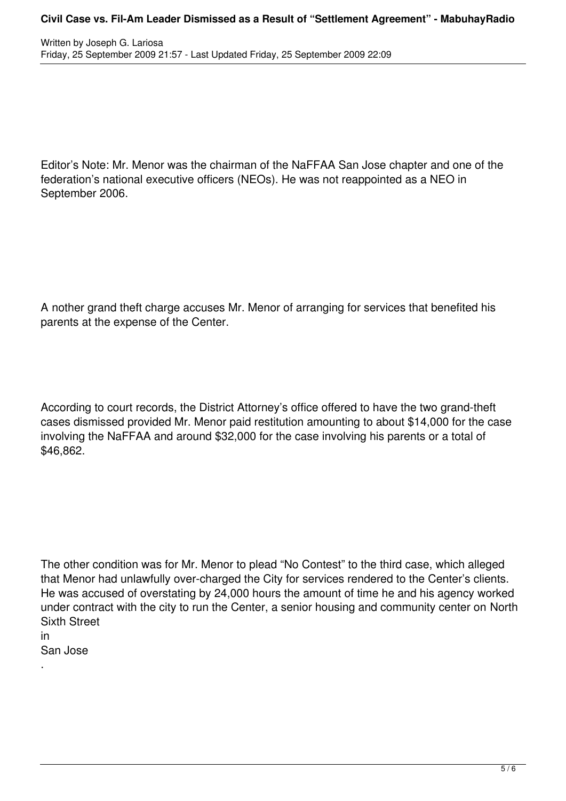Editor's Note: Mr. Menor was the chairman of the NaFFAA San Jose chapter and one of the federation's national executive officers (NEOs). He was not reappointed as a NEO in September 2006.

A nother grand theft charge accuses Mr. Menor of arranging for services that benefited his parents at the expense of the Center.

According to court records, the District Attorney's office offered to have the two grand-theft cases dismissed provided Mr. Menor paid restitution amounting to about \$14,000 for the case involving the NaFFAA and around \$32,000 for the case involving his parents or a total of \$46,862.

The other condition was for Mr. Menor to plead "No Contest" to the third case, which alleged that Menor had unlawfully over-charged the City for services rendered to the Center's clients. He was accused of overstating by 24,000 hours the amount of time he and his agency worked under contract with the city to run the Center, a senior housing and community center on North Sixth Street

in San Jose

.